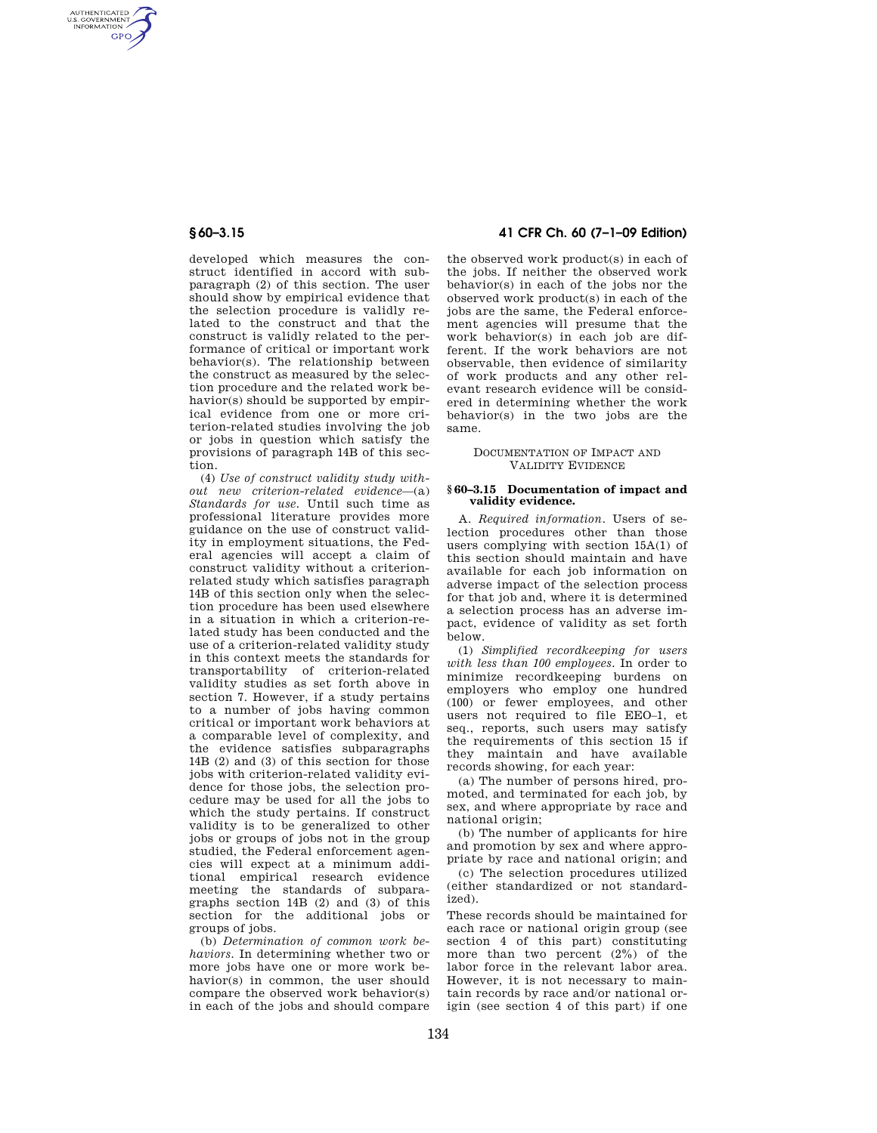AUTHENTICATED<br>U.S. GOVERNMENT<br>INFORMATION **GPO** 

> developed which measures the construct identified in accord with subparagraph (2) of this section. The user should show by empirical evidence that the selection procedure is validly related to the construct and that the construct is validly related to the performance of critical or important work behavior(s). The relationship between the construct as measured by the selection procedure and the related work behavior(s) should be supported by empirical evidence from one or more criterion-related studies involving the job or jobs in question which satisfy the provisions of paragraph 14B of this section.

> (4) *Use of construct validity study without new criterion-related evidence*—(a) *Standards for use.* Until such time as professional literature provides more guidance on the use of construct validity in employment situations, the Federal agencies will accept a claim of construct validity without a criterionrelated study which satisfies paragraph 14B of this section only when the selection procedure has been used elsewhere in a situation in which a criterion-related study has been conducted and the use of a criterion-related validity study in this context meets the standards for transportability of criterion-related validity studies as set forth above in section 7. However, if a study pertains to a number of jobs having common critical or important work behaviors at a comparable level of complexity, and the evidence satisfies subparagraphs 14B (2) and (3) of this section for those jobs with criterion-related validity evidence for those jobs, the selection procedure may be used for all the jobs to which the study pertains. If construct validity is to be generalized to other jobs or groups of jobs not in the group studied, the Federal enforcement agencies will expect at a minimum additional empirical research evidence meeting the standards of subparagraphs section 14B (2) and (3) of this section for the additional jobs or groups of jobs.

> (b) *Determination of common work behaviors.* In determining whether two or more jobs have one or more work behavior(s) in common, the user should compare the observed work behavior(s) in each of the jobs and should compare

# **§ 60–3.15 41 CFR Ch. 60 (7–1–09 Edition)**

the observed work product(s) in each of the jobs. If neither the observed work behavior(s) in each of the jobs nor the observed work product(s) in each of the jobs are the same, the Federal enforcement agencies will presume that the work behavior(s) in each job are different. If the work behaviors are not observable, then evidence of similarity of work products and any other relevant research evidence will be considered in determining whether the work behavior(s) in the two jobs are the same.

#### DOCUMENTATION OF IMPACT AND VALIDITY EVIDENCE

#### **§ 60–3.15 Documentation of impact and validity evidence.**

A. *Required information.* Users of selection procedures other than those users complying with section 15A(1) of this section should maintain and have available for each job information on adverse impact of the selection process for that job and, where it is determined a selection process has an adverse impact, evidence of validity as set forth below.

(1) *Simplified recordkeeping for users with less than 100 employees.* In order to minimize recordkeeping burdens on employers who employ one hundred (100) or fewer employees, and other users not required to file EEO–1, et seq., reports, such users may satisfy the requirements of this section 15 if they maintain and have available records showing, for each year:

(a) The number of persons hired, promoted, and terminated for each job, by sex, and where appropriate by race and national origin;

(b) The number of applicants for hire and promotion by sex and where appropriate by race and national origin; and

(c) The selection procedures utilized (either standardized or not standardized).

These records should be maintained for each race or national origin group (see section 4 of this part) constituting more than two percent  $(2\%)$  of the labor force in the relevant labor area. However, it is not necessary to maintain records by race and/or national origin (see section 4 of this part) if one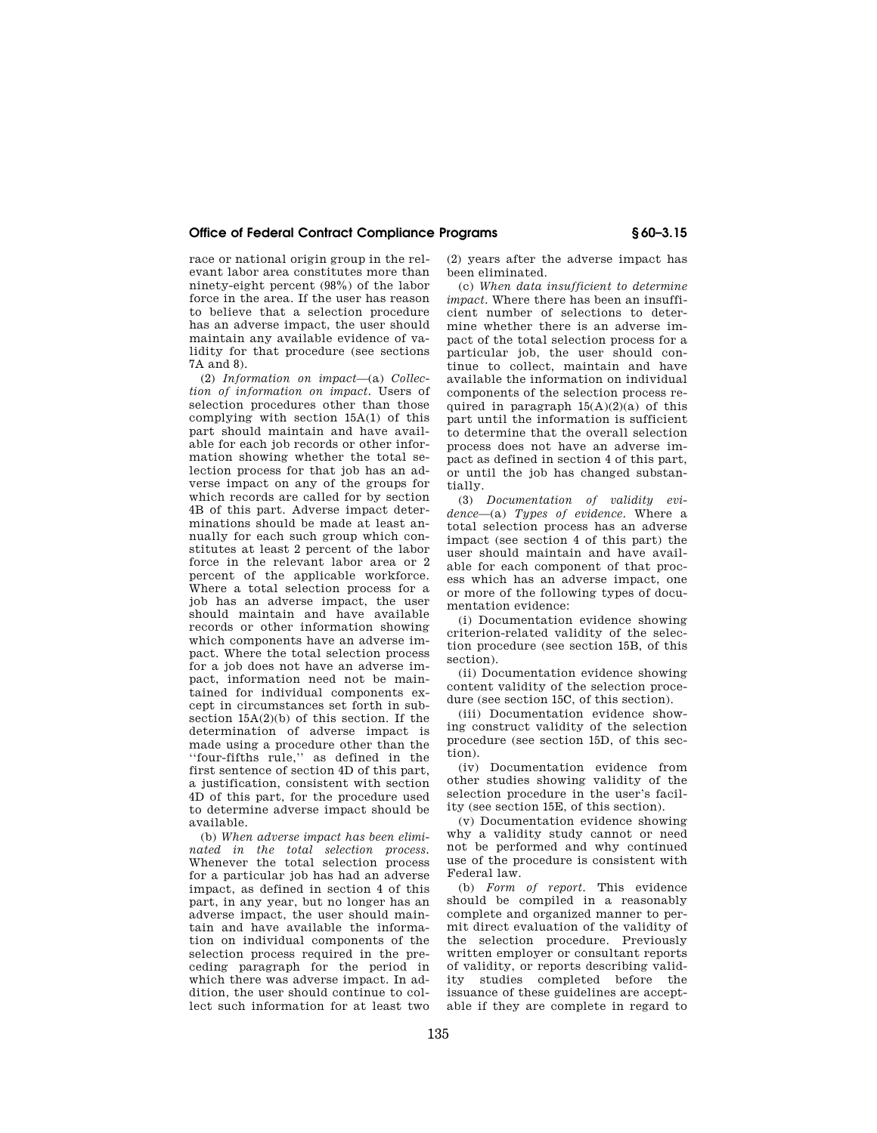race or national origin group in the relevant labor area constitutes more than ninety-eight percent (98%) of the labor force in the area. If the user has reason to believe that a selection procedure has an adverse impact, the user should maintain any available evidence of validity for that procedure (see sections 7A and 8).

(2) *Information on impact*—(a) *Collection of information on impact.* Users of selection procedures other than those complying with section 15A(1) of this part should maintain and have available for each job records or other information showing whether the total selection process for that job has an adverse impact on any of the groups for which records are called for by section 4B of this part. Adverse impact determinations should be made at least annually for each such group which constitutes at least 2 percent of the labor force in the relevant labor area or 2 percent of the applicable workforce. Where a total selection process for a job has an adverse impact, the user should maintain and have available records or other information showing which components have an adverse impact. Where the total selection process for a job does not have an adverse impact, information need not be maintained for individual components except in circumstances set forth in subsection 15A(2)(b) of this section. If the determination of adverse impact is made using a procedure other than the ''four-fifths rule,'' as defined in the first sentence of section 4D of this part, a justification, consistent with section 4D of this part, for the procedure used to determine adverse impact should be available.

(b) *When adverse impact has been eliminated in the total selection process.*  Whenever the total selection process for a particular job has had an adverse impact, as defined in section 4 of this part, in any year, but no longer has an adverse impact, the user should maintain and have available the information on individual components of the selection process required in the preceding paragraph for the period in which there was adverse impact. In addition, the user should continue to collect such information for at least two

(2) years after the adverse impact has been eliminated.

(c) *When data insufficient to determine impact.* Where there has been an insufficient number of selections to determine whether there is an adverse impact of the total selection process for a particular job, the user should continue to collect, maintain and have available the information on individual components of the selection process required in paragraph  $15(A)(2)(a)$  of this part until the information is sufficient to determine that the overall selection process does not have an adverse impact as defined in section 4 of this part, or until the job has changed substantially.

(3) *Documentation of validity evidence*—(a) *Types of evidence.* Where a total selection process has an adverse impact (see section 4 of this part) the user should maintain and have available for each component of that process which has an adverse impact, one or more of the following types of documentation evidence:

(i) Documentation evidence showing criterion-related validity of the selection procedure (see section 15B, of this section).

(ii) Documentation evidence showing content validity of the selection procedure (see section 15C, of this section).

(iii) Documentation evidence showing construct validity of the selection procedure (see section 15D, of this section).

(iv) Documentation evidence from other studies showing validity of the selection procedure in the user's facility (see section 15E, of this section).

(v) Documentation evidence showing why a validity study cannot or need not be performed and why continued use of the procedure is consistent with Federal law.

(b) *Form of report.* This evidence should be compiled in a reasonably complete and organized manner to permit direct evaluation of the validity of the selection procedure. Previously written employer or consultant reports of validity, or reports describing validity studies completed before the issuance of these guidelines are acceptable if they are complete in regard to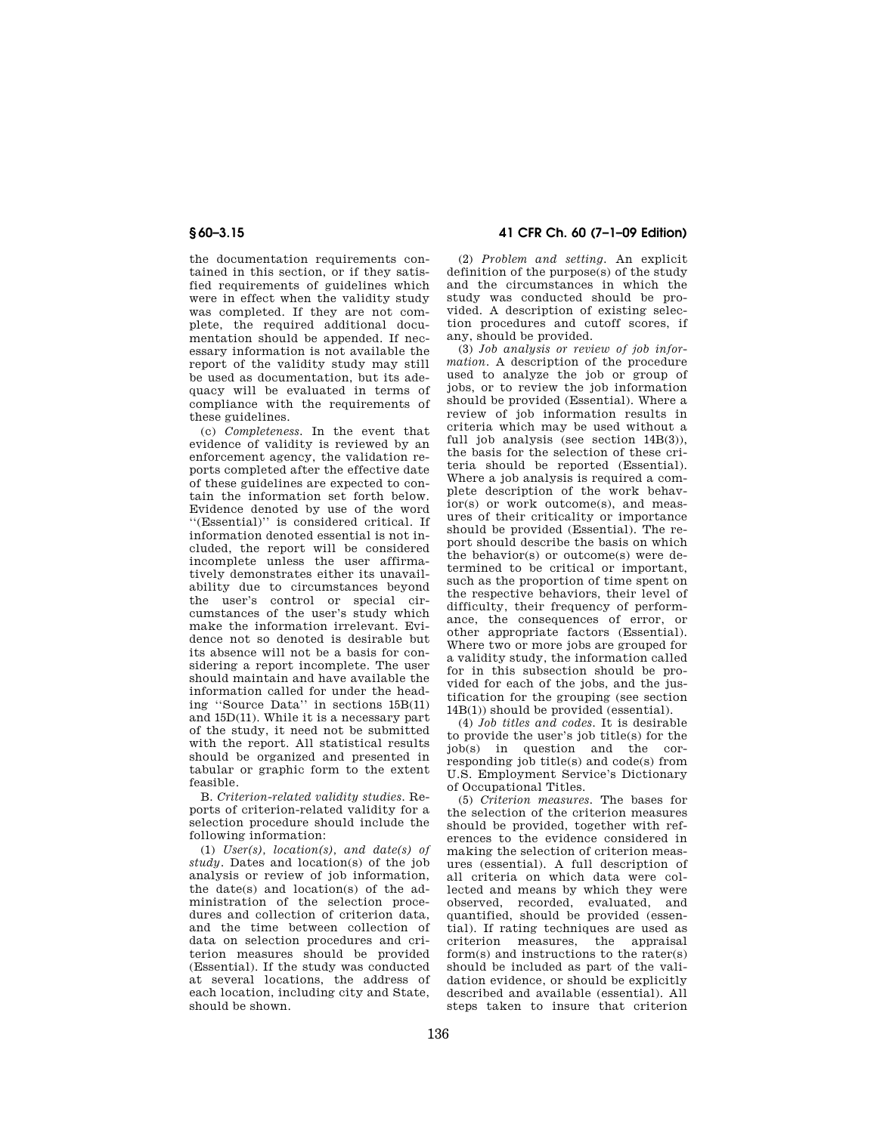the documentation requirements contained in this section, or if they satisfied requirements of guidelines which were in effect when the validity study was completed. If they are not complete, the required additional documentation should be appended. If necessary information is not available the report of the validity study may still be used as documentation, but its adequacy will be evaluated in terms of compliance with the requirements of these guidelines.

(c) *Completeness.* In the event that evidence of validity is reviewed by an enforcement agency, the validation reports completed after the effective date of these guidelines are expected to contain the information set forth below. Evidence denoted by use of the word ''(Essential)'' is considered critical. If information denoted essential is not included, the report will be considered incomplete unless the user affirmatively demonstrates either its unavailability due to circumstances beyond the user's control or special circumstances of the user's study which make the information irrelevant. Evidence not so denoted is desirable but its absence will not be a basis for considering a report incomplete. The user should maintain and have available the information called for under the heading ''Source Data'' in sections 15B(11) and 15D(11). While it is a necessary part of the study, it need not be submitted with the report. All statistical results should be organized and presented in tabular or graphic form to the extent feasible.

B. *Criterion-related validity studies.* Reports of criterion-related validity for a selection procedure should include the following information:

(1) *User(s), location(s), and date(s) of study.* Dates and location(s) of the job analysis or review of job information, the date(s) and location(s) of the administration of the selection procedures and collection of criterion data, and the time between collection of data on selection procedures and criterion measures should be provided (Essential). If the study was conducted at several locations, the address of each location, including city and State, should be shown.

**§ 60–3.15 41 CFR Ch. 60 (7–1–09 Edition)** 

(2) *Problem and setting.* An explicit definition of the purpose(s) of the study and the circumstances in which the study was conducted should be provided. A description of existing selection procedures and cutoff scores, if any, should be provided.

(3) *Job analysis or review of job information.* A description of the procedure used to analyze the job or group of jobs, or to review the job information should be provided (Essential). Where a review of job information results in criteria which may be used without a full job analysis (see section 14B(3)). the basis for the selection of these criteria should be reported (Essential). Where a job analysis is required a complete description of the work behavior(s) or work outcome(s), and measures of their criticality or importance should be provided (Essential). The report should describe the basis on which the behavior(s) or outcome(s) were determined to be critical or important, such as the proportion of time spent on the respective behaviors, their level of difficulty, their frequency of performance, the consequences of error, or other appropriate factors (Essential). Where two or more jobs are grouped for a validity study, the information called for in this subsection should be provided for each of the jobs, and the justification for the grouping (see section 14B(1)) should be provided (essential).

(4) *Job titles and codes.* It is desirable to provide the user's job title(s) for the job(s) in question and the corresponding job title(s) and code(s) from U.S. Employment Service's Dictionary of Occupational Titles.

(5) *Criterion measures.* The bases for the selection of the criterion measures should be provided, together with references to the evidence considered in making the selection of criterion measures (essential). A full description of all criteria on which data were collected and means by which they were observed, recorded, evaluated, and quantified, should be provided (essential). If rating techniques are used as criterion measures, the appraisal form(s) and instructions to the rater(s) should be included as part of the validation evidence, or should be explicitly described and available (essential). All steps taken to insure that criterion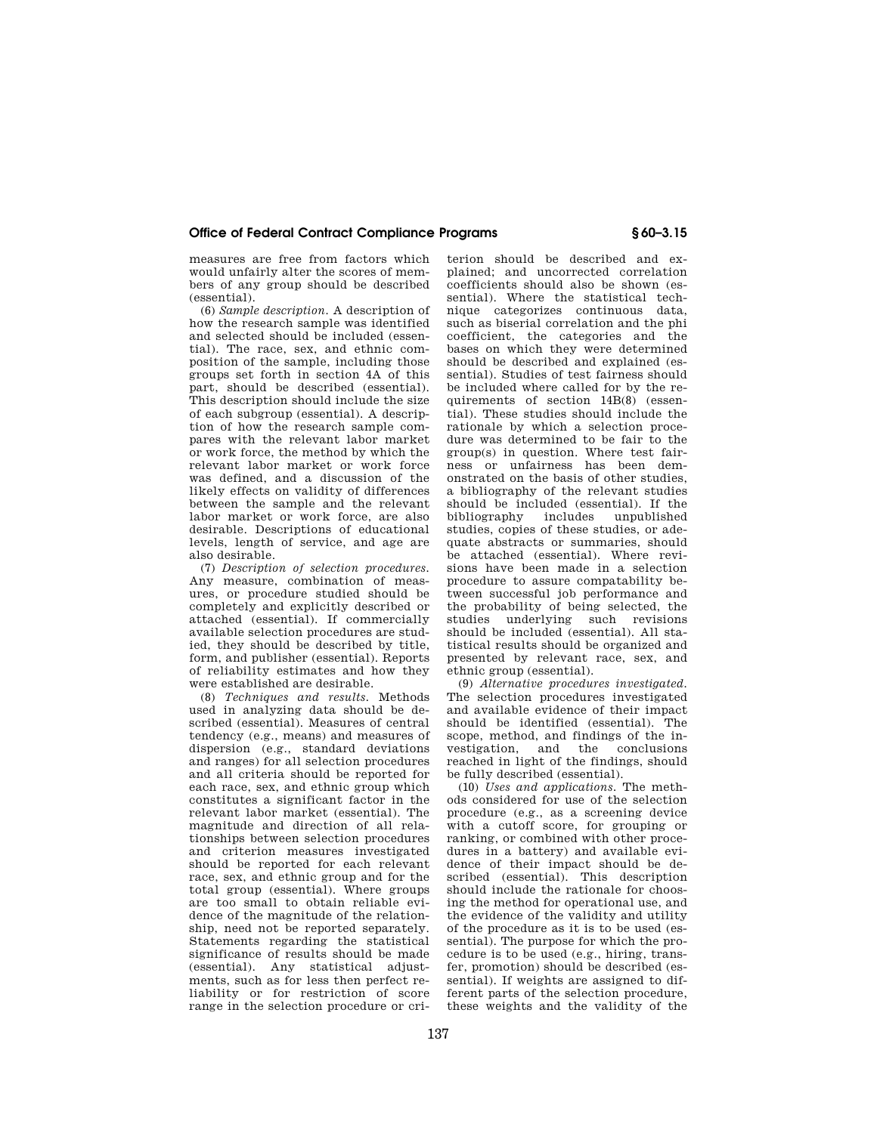measures are free from factors which would unfairly alter the scores of members of any group should be described (essential).

(6) *Sample description.* A description of how the research sample was identified and selected should be included (essential). The race, sex, and ethnic composition of the sample, including those groups set forth in section 4A of this part, should be described (essential). This description should include the size of each subgroup (essential). A description of how the research sample compares with the relevant labor market or work force, the method by which the relevant labor market or work force was defined, and a discussion of the likely effects on validity of differences between the sample and the relevant labor market or work force, are also desirable. Descriptions of educational levels, length of service, and age are also desirable.

(7) *Description of selection procedures.*  Any measure, combination of measures, or procedure studied should be completely and explicitly described or attached (essential). If commercially available selection procedures are studied, they should be described by title, form, and publisher (essential). Reports of reliability estimates and how they were established are desirable.

(8) *Techniques and results.* Methods used in analyzing data should be described (essential). Measures of central tendency (e.g., means) and measures of dispersion (e.g., standard deviations and ranges) for all selection procedures and all criteria should be reported for each race, sex, and ethnic group which constitutes a significant factor in the relevant labor market (essential). The magnitude and direction of all relationships between selection procedures and criterion measures investigated should be reported for each relevant race, sex, and ethnic group and for the total group (essential). Where groups are too small to obtain reliable evidence of the magnitude of the relationship, need not be reported separately. Statements regarding the statistical significance of results should be made (essential). Any statistical adjustments, such as for less then perfect reliability or for restriction of score range in the selection procedure or cri-

terion should be described and explained; and uncorrected correlation coefficients should also be shown (essential). Where the statistical technique categorizes continuous data, such as biserial correlation and the phi coefficient, the categories and the bases on which they were determined should be described and explained (essential). Studies of test fairness should be included where called for by the requirements of section 14B(8) (essential). These studies should include the rationale by which a selection procedure was determined to be fair to the group(s) in question. Where test fairness or unfairness has been demonstrated on the basis of other studies, a bibliography of the relevant studies should be included (essential). If the bibliography includes unpublished bibliography studies, copies of these studies, or adequate abstracts or summaries, should be attached (essential). Where revisions have been made in a selection procedure to assure compatability between successful job performance and the probability of being selected, the studies underlying such revisions should be included (essential). All statistical results should be organized and presented by relevant race, sex, and ethnic group (essential).

(9) *Alternative procedures investigated.*  The selection procedures investigated and available evidence of their impact should be identified (essential). The scope, method, and findings of the investigation, and the reached in light of the findings, should be fully described (essential).

(10) *Uses and applications.* The methods considered for use of the selection procedure (e.g., as a screening device with a cutoff score, for grouping or ranking, or combined with other procedures in a battery) and available evidence of their impact should be described (essential). This description should include the rationale for choosing the method for operational use, and the evidence of the validity and utility of the procedure as it is to be used (essential). The purpose for which the procedure is to be used (e.g., hiring, transfer, promotion) should be described (essential). If weights are assigned to different parts of the selection procedure, these weights and the validity of the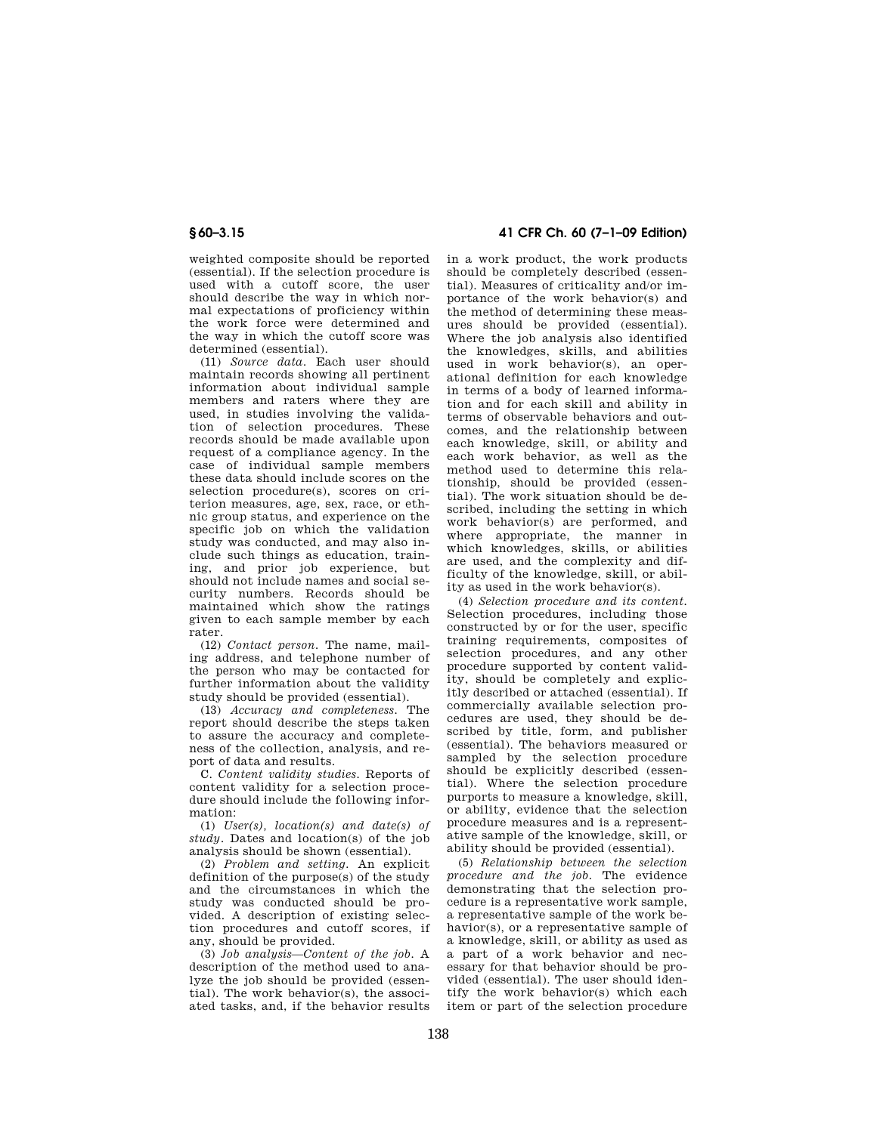weighted composite should be reported (essential). If the selection procedure is used with a cutoff score, the user should describe the way in which normal expectations of proficiency within the work force were determined and the way in which the cutoff score was determined (essential).

(11) *Source data.* Each user should maintain records showing all pertinent information about individual sample members and raters where they are used, in studies involving the validation of selection procedures. These records should be made available upon request of a compliance agency. In the case of individual sample members these data should include scores on the selection procedure(s), scores on criterion measures, age, sex, race, or ethnic group status, and experience on the specific job on which the validation study was conducted, and may also include such things as education, training, and prior job experience, but should not include names and social security numbers. Records should be maintained which show the ratings given to each sample member by each rater.

(12) *Contact person.* The name, mailing address, and telephone number of the person who may be contacted for further information about the validity study should be provided (essential).

(13) *Accuracy and completeness.* The report should describe the steps taken to assure the accuracy and completeness of the collection, analysis, and report of data and results.

C. *Content validity studies.* Reports of content validity for a selection procedure should include the following information:

(1) *User(s), location(s) and date(s) of study.* Dates and location(s) of the job analysis should be shown (essential).

(2) *Problem and setting.* An explicit definition of the purpose(s) of the study and the circumstances in which the study was conducted should be provided. A description of existing selection procedures and cutoff scores, if any, should be provided.

(3) *Job analysis—Content of the job.* A description of the method used to analyze the job should be provided (essential). The work behavior(s), the associated tasks, and, if the behavior results

# **§ 60–3.15 41 CFR Ch. 60 (7–1–09 Edition)**

in a work product, the work products should be completely described (essential). Measures of criticality and/or importance of the work behavior(s) and the method of determining these measures should be provided (essential). Where the job analysis also identified the knowledges, skills, and abilities used in work behavior(s), an operational definition for each knowledge in terms of a body of learned information and for each skill and ability in terms of observable behaviors and outcomes, and the relationship between each knowledge, skill, or ability and each work behavior, as well as the method used to determine this relationship, should be provided (essential). The work situation should be described, including the setting in which work behavior(s) are performed, and where appropriate, the manner in which knowledges, skills, or abilities are used, and the complexity and difficulty of the knowledge, skill, or ability as used in the work behavior(s).

(4) *Selection procedure and its content.*  Selection procedures, including those constructed by or for the user, specific training requirements, composites of selection procedures, and any other procedure supported by content validity, should be completely and explicitly described or attached (essential). If commercially available selection procedures are used, they should be described by title, form, and publisher (essential). The behaviors measured or sampled by the selection procedure should be explicitly described (essential). Where the selection procedure purports to measure a knowledge, skill, or ability, evidence that the selection procedure measures and is a representative sample of the knowledge, skill, or ability should be provided (essential).

(5) *Relationship between the selection procedure and the job.* The evidence demonstrating that the selection procedure is a representative work sample, a representative sample of the work behavior(s), or a representative sample of a knowledge, skill, or ability as used as a part of a work behavior and necessary for that behavior should be provided (essential). The user should identify the work behavior(s) which each item or part of the selection procedure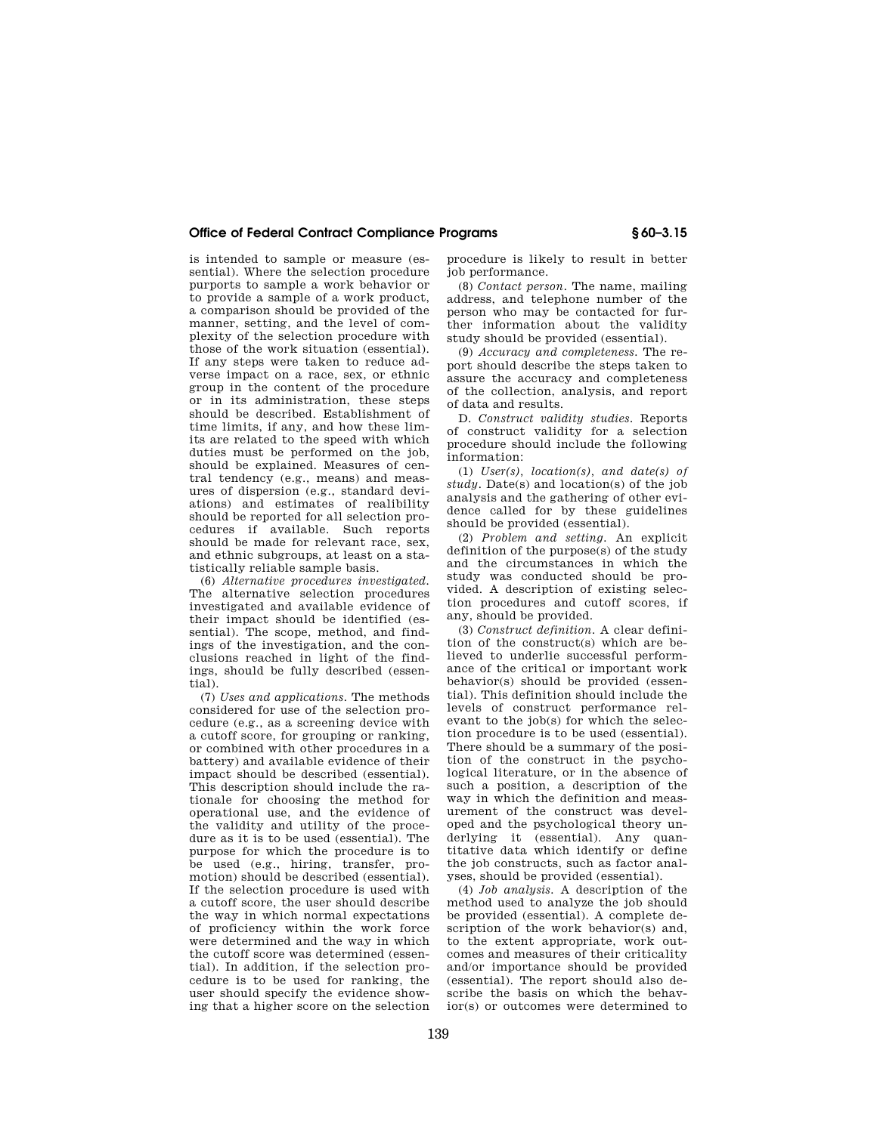is intended to sample or measure (essential). Where the selection procedure purports to sample a work behavior or to provide a sample of a work product, a comparison should be provided of the manner, setting, and the level of complexity of the selection procedure with those of the work situation (essential). If any steps were taken to reduce adverse impact on a race, sex, or ethnic group in the content of the procedure or in its administration, these steps should be described. Establishment of time limits, if any, and how these limits are related to the speed with which duties must be performed on the job, should be explained. Measures of central tendency (e.g., means) and measures of dispersion (e.g., standard deviations) and estimates of realibility should be reported for all selection procedures if available. Such reports should be made for relevant race, sex, and ethnic subgroups, at least on a statistically reliable sample basis.

(6) *Alternative procedures investigated.*  The alternative selection procedures investigated and available evidence of their impact should be identified (essential). The scope, method, and findings of the investigation, and the conclusions reached in light of the findings, should be fully described (essential).

(7) *Uses and applications.* The methods considered for use of the selection procedure (e.g., as a screening device with a cutoff score, for grouping or ranking, or combined with other procedures in a battery) and available evidence of their impact should be described (essential). This description should include the rationale for choosing the method for operational use, and the evidence of the validity and utility of the procedure as it is to be used (essential). The purpose for which the procedure is to be used (e.g., hiring, transfer, promotion) should be described (essential). If the selection procedure is used with a cutoff score, the user should describe the way in which normal expectations of proficiency within the work force were determined and the way in which the cutoff score was determined (essential). In addition, if the selection procedure is to be used for ranking, the user should specify the evidence showing that a higher score on the selection

procedure is likely to result in better job performance.

(8) *Contact person.* The name, mailing address, and telephone number of the person who may be contacted for further information about the validity study should be provided (essential).

(9) *Accuracy and completeness.* The report should describe the steps taken to assure the accuracy and completeness of the collection, analysis, and report of data and results.

D. *Construct validity studies.* Reports of construct validity for a selection procedure should include the following information:

(1) *User(s), location(s), and date(s) of study.* Date(s) and location(s) of the job analysis and the gathering of other evidence called for by these guidelines should be provided (essential).

(2) *Problem and setting.* An explicit definition of the purpose(s) of the study and the circumstances in which the study was conducted should be provided. A description of existing selection procedures and cutoff scores, if any, should be provided.

(3) *Construct definition.* A clear definition of the construct(s) which are believed to underlie successful performance of the critical or important work behavior(s) should be provided (essential). This definition should include the levels of construct performance relevant to the job(s) for which the selection procedure is to be used (essential). There should be a summary of the position of the construct in the psychological literature, or in the absence of such a position, a description of the way in which the definition and measurement of the construct was developed and the psychological theory underlying it (essential). Any quantitative data which identify or define the job constructs, such as factor analyses, should be provided (essential).

(4) *Job analysis.* A description of the method used to analyze the job should be provided (essential). A complete description of the work behavior(s) and, to the extent appropriate, work outcomes and measures of their criticality and/or importance should be provided (essential). The report should also describe the basis on which the behavior(s) or outcomes were determined to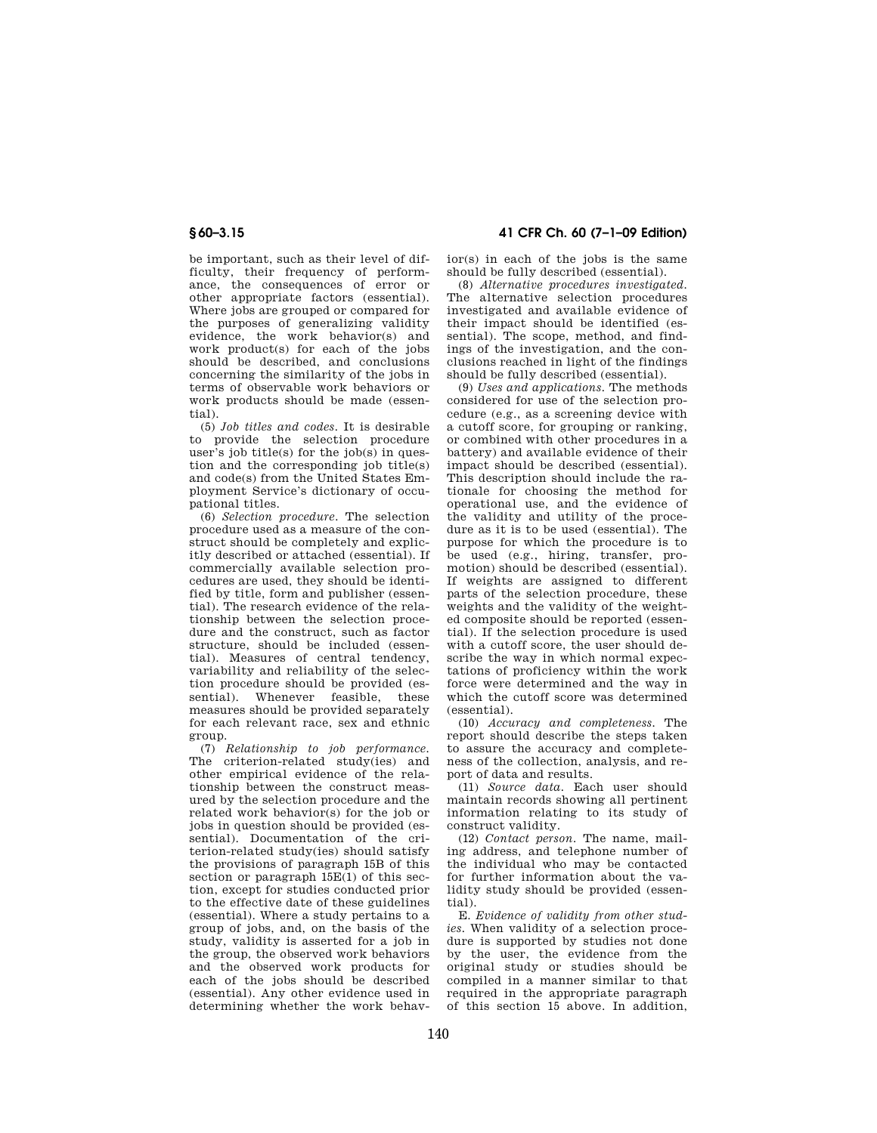be important, such as their level of difficulty, their frequency of performance, the consequences of error or other appropriate factors (essential). Where jobs are grouped or compared for the purposes of generalizing validity evidence, the work behavior(s) and work product(s) for each of the jobs should be described, and conclusions concerning the similarity of the jobs in terms of observable work behaviors or work products should be made (essential).

(5) *Job titles and codes.* It is desirable to provide the selection procedure user's job title(s) for the job(s) in question and the corresponding job title(s) and code(s) from the United States Employment Service's dictionary of occupational titles.

(6) *Selection procedure.* The selection procedure used as a measure of the construct should be completely and explicitly described or attached (essential). If commercially available selection procedures are used, they should be identified by title, form and publisher (essential). The research evidence of the relationship between the selection procedure and the construct, such as factor structure, should be included (essential). Measures of central tendency, variability and reliability of the selection procedure should be provided (essential). Whenever feasible, these measures should be provided separately for each relevant race, sex and ethnic group.

(7) *Relationship to job performance.*  The criterion-related study(ies) and other empirical evidence of the relationship between the construct measured by the selection procedure and the related work behavior(s) for the job or jobs in question should be provided (essential). Documentation of the criterion-related study(ies) should satisfy the provisions of paragraph 15B of this section or paragraph 15E(1) of this section, except for studies conducted prior to the effective date of these guidelines (essential). Where a study pertains to a group of jobs, and, on the basis of the study, validity is asserted for a job in the group, the observed work behaviors and the observed work products for each of the jobs should be described (essential). Any other evidence used in determining whether the work behav-

# **§ 60–3.15 41 CFR Ch. 60 (7–1–09 Edition)**

ior(s) in each of the jobs is the same should be fully described (essential).

(8) *Alternative procedures investigated.*  The alternative selection procedures investigated and available evidence of their impact should be identified (essential). The scope, method, and findings of the investigation, and the conclusions reached in light of the findings should be fully described (essential).

(9) *Uses and applications.* The methods considered for use of the selection procedure (e.g., as a screening device with a cutoff score, for grouping or ranking, or combined with other procedures in a battery) and available evidence of their impact should be described (essential). This description should include the rationale for choosing the method for operational use, and the evidence of the validity and utility of the procedure as it is to be used (essential). The purpose for which the procedure is to be used (e.g., hiring, transfer, promotion) should be described (essential). If weights are assigned to different parts of the selection procedure, these weights and the validity of the weighted composite should be reported (essential). If the selection procedure is used with a cutoff score, the user should describe the way in which normal expectations of proficiency within the work force were determined and the way in which the cutoff score was determined (essential).

(10) *Accuracy and completeness.* The report should describe the steps taken to assure the accuracy and completeness of the collection, analysis, and report of data and results.

(11) *Source data.* Each user should maintain records showing all pertinent information relating to its study of construct validity.

(12) *Contact person.* The name, mailing address, and telephone number of the individual who may be contacted for further information about the validity study should be provided (essential).

E. *Evidence of validity from other studies.* When validity of a selection procedure is supported by studies not done by the user, the evidence from the original study or studies should be compiled in a manner similar to that required in the appropriate paragraph of this section 15 above. In addition,